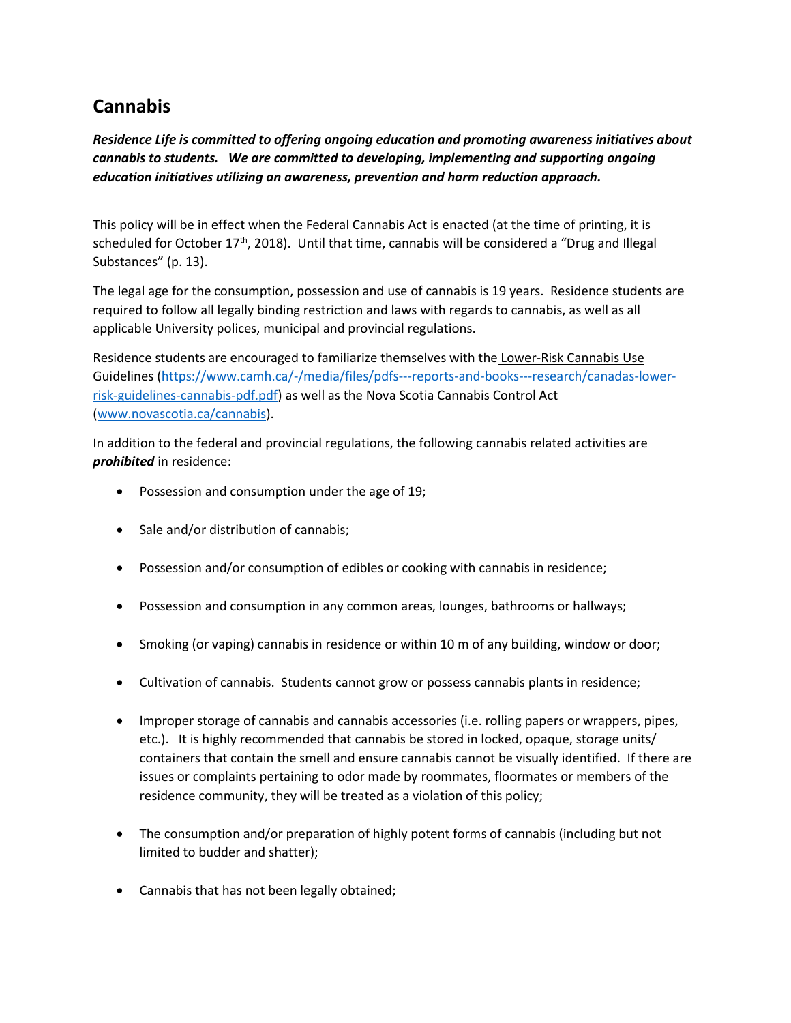## **Cannabis**

*Residence Life is committed to offering ongoing education and promoting awareness initiatives about cannabis to students. We are committed to developing, implementing and supporting ongoing education initiatives utilizing an awareness, prevention and harm reduction approach.*

This policy will be in effect when the Federal Cannabis Act is enacted (at the time of printing, it is scheduled for October 17<sup>th</sup>, 2018). Until that time, cannabis will be considered a "Drug and Illegal Substances" (p. 13).

The legal age for the consumption, possession and use of cannabis is 19 years. Residence students are required to follow all legally binding restriction and laws with regards to cannabis, as well as all applicable University polices, municipal and provincial regulations.

Residence students are encouraged to familiarize themselves with the Lower-Risk Cannabis Use Guidelines [\(https://www.camh.ca/-/media/files/pdfs---reports-and-books---research/canadas-lower](https://www.camh.ca/-/media/files/pdfs---reports-and-books---research/canadas-lower-risk-guidelines-cannabis-pdf.pdf)[risk-guidelines-cannabis-pdf.pdf\)](https://www.camh.ca/-/media/files/pdfs---reports-and-books---research/canadas-lower-risk-guidelines-cannabis-pdf.pdf) as well as the Nova Scotia Cannabis Control Act [\(www.novascotia.ca/cannabis\)](http://www.novascotia.ca/cannabis).

In addition to the federal and provincial regulations, the following cannabis related activities are *prohibited* in residence:

- Possession and consumption under the age of 19;
- Sale and/or distribution of cannabis;
- Possession and/or consumption of edibles or cooking with cannabis in residence;
- Possession and consumption in any common areas, lounges, bathrooms or hallways;
- Smoking (or vaping) cannabis in residence or within 10 m of any building, window or door;
- Cultivation of cannabis. Students cannot grow or possess cannabis plants in residence;
- Improper storage of cannabis and cannabis accessories (i.e. rolling papers or wrappers, pipes, etc.). It is highly recommended that cannabis be stored in locked, opaque, storage units/ containers that contain the smell and ensure cannabis cannot be visually identified. If there are issues or complaints pertaining to odor made by roommates, floormates or members of the residence community, they will be treated as a violation of this policy;
- The consumption and/or preparation of highly potent forms of cannabis (including but not limited to budder and shatter);
- Cannabis that has not been legally obtained;